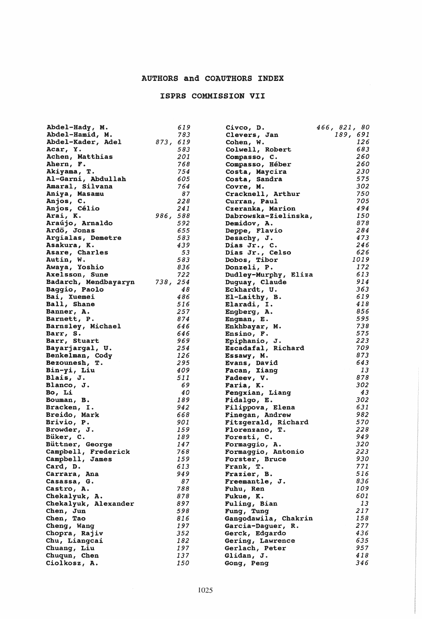## AUTHORS and COAUTHORS INDEX

## ISPRS COMMISSION VII

| Abdel-Hady, M.       | 619      | Civco, D.            | 466, 821, 80 |
|----------------------|----------|----------------------|--------------|
| Abdel-Hamid, M.      | 783      | Clevers, Jan         | 189, 691     |
| Abdel-Kader, Adel    | 873, 619 | Cohen, W.            | 126          |
| Acar, Y.             | 583      | Colwell, Robert      | 683          |
|                      | 201      |                      | 260          |
| Achen, Matthias      |          | Compasso, C.         |              |
| Ahern, F.            | 768      | Compasso, Héber      | 260          |
| Akiyama, T.          | 754      | Costa, Maycira       | 230          |
| Al-Garni, Abdullah   | 605      | Costa, Sandra        | 575          |
| Amaral, Silvana      | 764      | Covre, M.            | 302          |
| Aniya, Masamu        | 87       | Cracknell, Arthur    | 750          |
| Anjos, C.            | 228      | Curran, Paul         | 705          |
|                      | 241      |                      | 494          |
| Anjos, Célio         |          | Czeranka, Marion     |              |
| Arai, K.             | 986, 588 | Dabrowska-Zielinska, | 150          |
| Araújo, Arnaldo      | 592      | Demidov, A.          | 878          |
| Ardö, Jonas          | 655      | Deppe, Flavio        | 284          |
| Argialas, Demetre    | 583      | Desachy, J.          | 473          |
| Asakura, K.          | 439      | Dias Jr., C.         | 246          |
| Asare, Charles       | 53       | Dias Jr., Celso      | 626          |
| Autin, W.            | 583      | Dobos, Tibor         | 1019         |
| Awaya, Yoshio        | 836      | Donzeli, P.          | 172          |
|                      |          |                      |              |
| Axelsson, Sune       | 722      | Dudley-Murphy, Eliza | 613          |
| Badarch, Mendbayaryn | 738, 254 | Duguay, Claude       | 914          |
| Baggio, Paolo        | 48       | Eckhardt, U.         | 363          |
| Bai, Xuemei          | 486      | El-Laithy, B.        | 619          |
| Ball, Shane          | 516      | Elaradi, I.          | 418          |
| Banner, A.           | 257      | Engberg, A.          | 856          |
| Barnett, P.          | 874      | Enqman, E.           | 595          |
| Barnsley, Michael    | 646      | Enkhbayar, M.        | 738          |
| Barr, S.             | 646      | Ensino, F.           | 575          |
| Barr, Stuart         | 969      | Epiphanio, J.        | 223          |
|                      | 254      |                      | 709          |
| Bayarjargal, U.      |          | Escadafal, Richard   | 873          |
| Benkelman, Cody      | 126      | Essawy, M.           |              |
| Bezounesh, T.        | 295      | Evans, David         | 643          |
| Bin-yi, Liu          | 409      | Facan, Xiang         | 13           |
| Blais, J.            | 511      | Fadeev, V.           | 878          |
| Blanco, J.           | 69       | Faria, K.            | 302          |
| Bo, Li               | 40       | Fengxian, Liang      | 43           |
| Bouman, B.           | 189      | Fidalgo, E.          | 302          |
| Bracken, I.          | 942      | Filippova, Elena     | 631          |
| Breido, Mark         | 668      | Finegan, Andrew      | 982          |
| Brivio, P.           | 901      | Fitzgerald, Richard  | 570          |
| Browder, J.          | 159      |                      | 228          |
|                      |          | Florenzano, T.       |              |
| Büker, C.            | 189      | Foresti, C.          | 949          |
| Büttner, George      | 147      | Formaggio, A.        | 320          |
| Campbell, Frederick  | 768      | Formaggio, Antonio   | 223          |
| Campbell, James      | 159      | Forster, Bruce       | 930          |
| Card, D.             | 613      | Frank, T.            | 771          |
| Carrara, Ana         | 949      | Frazier, B.          | 516          |
| Casassa, G.          | 87       | Freemantle, J.       | 836          |
| Castro, A.           | 788      | Fuhu, Ren            | 109          |
| Chekalyuk, A.        | 878      | Fukue, K.            | 601          |
| Chekalyuk, Alexander | 897      |                      | 13           |
|                      |          | Fuling, Bian         | 217          |
| Chen, Jun            | 598      | Fung, Tung           |              |
| Chen, Tao            | 816      | Gangodawila, Chakrin | 158          |
| Cheng, Wang          | 197      | Garcia-Daquer, R.    | 277          |
| Chopra, Rajiv        | 352      | Gerck, Edgardo       | 436          |
| Chu, Liangcai        | 182      | Gering, Lawrence     | 635          |
| Chuang, Liu          | 197      | Gerlach, Peter       | 957          |
| Chuqun, Chen         | 137      | Glidan, J.           | 418          |
| Ciolkosz, A.         | 150      | Gong, Peng           | 346          |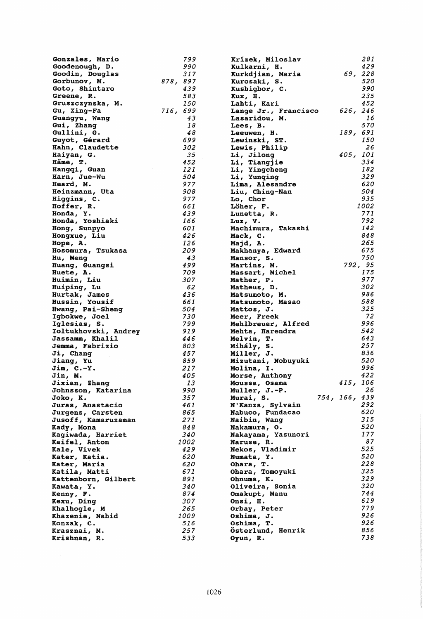| Gonzales, Mario                      | 799        | Krízek, Miloslav                      |               |          | 281               |
|--------------------------------------|------------|---------------------------------------|---------------|----------|-------------------|
| Goodenough, D.                       | 990        | Kulkarni, H.                          |               |          | 429               |
| Goodin, Douglas                      | 317        | Kurkdjian, Maria                      |               |          | 69, 228           |
| Gorbunov, M.                         | 878, 897   | Kurosaki, S.                          |               |          | <i><b>520</b></i> |
| Goto, Shintaro                       | 439        | Kushigbor, C.                         |               |          | 990               |
| Greene, R.                           | 583        | Kux, H.                               |               |          | 235               |
| Gruszczynska, M.                     | 150        | Lahti, Kari                           |               |          | 452               |
| Gu, Xing-Fa                          | 716, 699   | Lange Jr., Francisco                  |               | 626, 246 |                   |
| Guangyu, Wang                        | 43         | <b>Lasaridou, M.</b>                  |               |          | 16                |
| Gui, Zhang                           | 18         | <b>Lees, B.</b>                       |               |          | 570               |
| Gullini, G.                          | 48         | Leeuwen, H.                           |               | 189, 691 |                   |
| Guyot, Gérard                        | 699        | Lewinski, ST.                         |               |          | 150<br>26         |
| Hahn, Claudette                      | 302<br>35  | Lewis, Philip                         |               | 405, 101 |                   |
| Haiyan, G.<br>Häme, T.               | 452        | Li, Jilong<br>Li, Tiangjie            |               |          | 334               |
| Hangqi, Guan                         | 121        |                                       |               |          | 182               |
| Harn, Jue-Wu                         | 504        | Li, Yingcheng<br>Li, Yunqing          |               |          | 329               |
| Heard, M.                            | 977        | Lima, Alesandre                       |               |          | 620               |
| Heinzmann, Uta                       | 908        | Liu, Ching-Nan                        |               |          | 504               |
| Higgins, C.                          | 977        | Lo, Chor                              |               |          | 935               |
| Hoffer, R.                           | 661        | Löher, F.                             |               |          | 1002              |
| Honda, Y.                            | 439        | Lunetta, R.                           |               |          | 771               |
| Honda, Yoshiaki                      | 166        | $Luz$ , $V.$                          |               |          | 792               |
| Hong, Sunpyo                         | 601        | Machimura, Takashi                    |               |          | 142               |
| Hongxue, Liu                         | 426        | Mack, C.                              |               |          | 848               |
| Hope, A.                             | 126        | Majd, A.                              |               |          | 265               |
| Hosomura, Tsukasa                    | 209        | Makhanya, Edward                      |               |          | 675               |
| Hu, Meng                             | 43         | Mansor, S.                            |               |          | 750               |
| Huang, Guangsi                       | 499        | Martins, M.                           |               |          | 792, 95           |
| Huete, A.                            | 709        | <b>Massart, Michel</b>                |               |          | 175               |
| Huimin, Liu                          | 307        | Mather, P.                            |               |          | 977               |
| Huiping, Lu                          | 62         | Matheus, D.                           |               |          | 302               |
| Hurtak, James                        | 436        | Matsumoto, M.                         |               |          | 986               |
| Hussin, Yousif                       | 661        | Matsumoto, Masao                      |               |          | 588               |
| Hwang, Pai-Sheng                     | 504        | Mattos, J.                            |               |          | 325<br>72         |
| Igbokwe, Joel                        | 730<br>799 | Meer, Freek                           |               |          | 996               |
| Iglesias, S.<br>Ioltukhovski, Andrey | 919        | Mehlbreuer, Alfred<br>Mehta, Harendra |               |          | 542               |
| Jassamm, Khalil                      | 446        | Melvin, T.                            |               |          | 643               |
| Jemma, Fabrizio                      | 803        | Mihály, S.                            |               |          | 257               |
| Ji, Chang                            | 457        | Miller, J.                            |               |          | 836               |
| Jiang, Yu                            | 859        | Mizutani, Nobuyuki                    |               |          | 520               |
| $Join, C.-Y.$                        | 217        | Molina, I.                            |               |          | 996               |
| Jin, M.                              | 405        | Morse, Anthony                        |               |          | 422               |
| Jixian, Zhang                        | 13         | Moussa, Osama                         |               | 415, 106 |                   |
| Johnsson, Katarina                   | 990        | Muller, J.-P.                         |               |          | 26                |
| Joko, K.                             | 357        | Murai, S.                             | 754, 166, 439 |          |                   |
| Juras, Anastacio                     | 461        | N'Kanza, Sylvain                      |               |          | 292               |
| Jurgens, Carsten                     | 865        | Nabuco, Fundacao                      |               |          | 620               |
| Jusoff, Kamaruzaman                  | 271        | Naibin, Wang                          |               |          | 315               |
| Kady, Mona                           | 848        | Nakamura, O.                          |               |          | <i><b>520</b></i> |
| Kagiwada, Harriet                    | 340        | Nakayama, Yasunori                    |               |          | 177               |
| Kaifel, Anton                        | 1002       | Naruse, R.                            |               |          | 87<br>525         |
| Kale, Vivek                          | 429<br>620 | Nekos, Vladimir                       |               |          | <i><b>520</b></i> |
| Kater, Katia.                        | 620        | Numata, Y.                            |               |          | 228               |
| Kater, Maria<br>Katila, Matti        | 671        | Ohara, T.<br>Ohara, Tomoyuki          |               |          | 325               |
| Kattenborn, Gilbert                  | 891        | Ohnuma, K.                            |               |          | 329               |
| Kawata, Y.                           | 340        | Oliveira, Sonia                       |               |          | 320               |
| Kenny, F.                            | 874        | Omakupt, Manu                         |               |          | 744               |
| Kexu, Ding                           | 307        | Onsi, H.                              |               |          | 619               |
| Khalhogle, M                         | 265        | Orbay, Peter                          |               |          | 779               |
| Khazenie, Nahid                      | 1009       | Oshima, J.                            |               |          | 926               |
| Konzak, C.                           | 516        | Oshima, T.                            |               |          | 926               |
| Krasznai, M.                         | 257        | Osterlund, Henrik                     |               |          | 856               |
| Krishnan, R.                         | 533        | Oyun, R.                              |               |          | 738               |